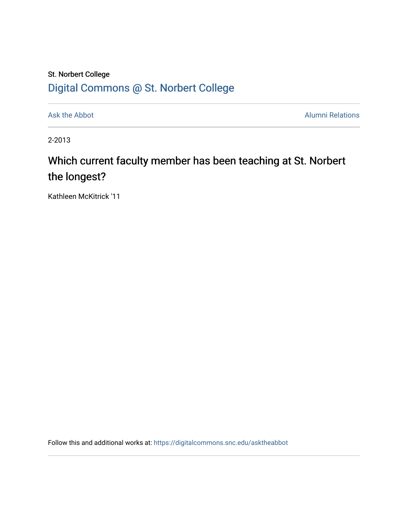## St. Norbert College [Digital Commons @ St. Norbert College](https://digitalcommons.snc.edu/)

[Ask the Abbot](https://digitalcommons.snc.edu/asktheabbot) **Alumni Relations** Alumni Relations

2-2013

## Which current faculty member has been teaching at St. Norbert the longest?

Kathleen McKitrick '11

Follow this and additional works at: [https://digitalcommons.snc.edu/asktheabbot](https://digitalcommons.snc.edu/asktheabbot?utm_source=digitalcommons.snc.edu%2Fasktheabbot%2F77&utm_medium=PDF&utm_campaign=PDFCoverPages)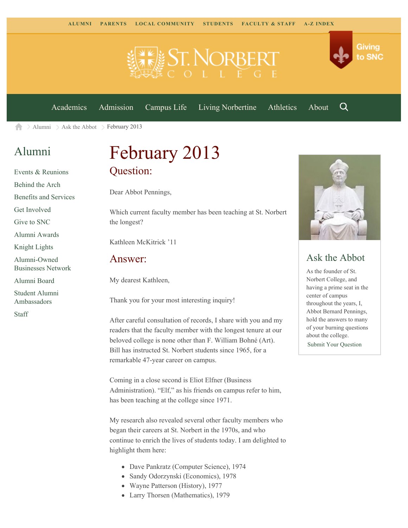

[Academics](https://www.snc.edu/academics) [Admission](https://www.snc.edu/admission) [Campus Life](https://www.snc.edu/campuslife) [Living Norbertine](https://www.snc.edu/livingnorbertine) [Athletics](https://www.snc.edu/athletics) [About](https://www.snc.edu/about)

Q

Giving

to SNC

[Alumni](https://www.snc.edu/alumni/)  $\geq$  [Ask the Abbot](https://www.snc.edu/alumni/abbot/)  $\geq$  February 2013 A

### [Alumni](https://www.snc.edu/alumni/index.html)

[Events & Reunions](https://www.snc.edu/alumni/event/index.html) [Behind the Arch](https://www.snc.edu/alumni/event/behindthearch/) [Benefits and Services](https://www.snc.edu/alumni/benefits.html) [Get Involved](https://www.snc.edu/alumni/getinvolved.html) [Give to SNC](http://giving.snc.edu/) [Alumni Awards](https://www.snc.edu/alumni/awards/index.html) [Knight Lights](https://www.snc.edu/alumni/knightlights/index.html) [Alumni-Owned](https://www.snc.edu/alumni/directory/index.html) [Businesses Network](https://www.snc.edu/alumni/directory/index.html) [Alumni Board](https://www.snc.edu/alumni/alumniboard.html) [Student Alumni](https://www.snc.edu/alumni/saa.html) [Ambassadors](https://www.snc.edu/alumni/saa.html) [Staff](https://www.snc.edu/alumni/contactus.html)

# February 2013 Question:

Dear Abbot Pennings,

Which current faculty member has been teaching at St. Norbert the longest?

Kathleen McKitrick '11

#### Answer:

My dearest Kathleen,

Thank you for your most interesting inquiry!

After careful consultation of records, I share with you and my readers that the faculty member with the longest tenure at our beloved college is none other than F. William Bohné (Art). Bill has instructed St. Norbert students since 1965, for a remarkable 47-year career on campus.

Coming in a close second is Eliot Elfner (Business Administration). "Elf," as his friends on campus refer to him, has been teaching at the college since 1971.

My research also revealed several other faculty members who began their careers at St. Norbert in the 1970s, and who continue to enrich the lives of students today. I am delighted to highlight them here:

- Dave Pankratz (Computer Science), 1974
- Sandy Odorzynski (Economics), 1978
- Wayne Patterson (History), 1977
- Larry Thorsen (Mathematics), 1979



#### Ask the Abbot

As the founder of St. Norbert College, and having a prime seat in the center of campus throughout the years, I, Abbot Bernard Pennings, hold the answers to many of your burning questions about the college. [Submit Your Question](https://www.snc.edu/alumni/abbot/index.html)